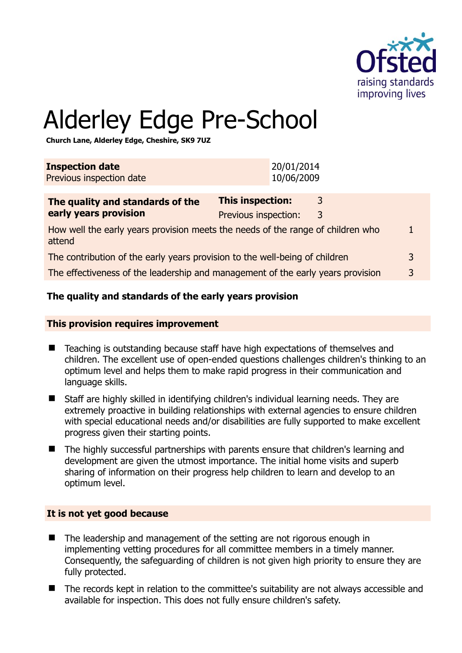

# Alderley Edge Pre-School

**Church Lane, Alderley Edge, Cheshire, SK9 7UZ** 

| <b>Inspection date</b><br>Previous inspection date                                        |                                                 | 20/01/2014<br>10/06/2009 |        |  |
|-------------------------------------------------------------------------------------------|-------------------------------------------------|--------------------------|--------|--|
| The quality and standards of the<br>early years provision                                 | <b>This inspection:</b><br>Previous inspection: |                          | 3<br>3 |  |
| How well the early years provision meets the needs of the range of children who<br>attend |                                                 |                          |        |  |
| The contribution of the early years provision to the well-being of children               |                                                 |                          |        |  |
| The effectiveness of the leadership and management of the early years provision<br>3      |                                                 |                          |        |  |
|                                                                                           |                                                 |                          |        |  |

# **The quality and standards of the early years provision**

#### **This provision requires improvement**

- Teaching is outstanding because staff have high expectations of themselves and children. The excellent use of open-ended questions challenges children's thinking to an optimum level and helps them to make rapid progress in their communication and language skills.
- Staff are highly skilled in identifying children's individual learning needs. They are extremely proactive in building relationships with external agencies to ensure children with special educational needs and/or disabilities are fully supported to make excellent progress given their starting points.
- The highly successful partnerships with parents ensure that children's learning and development are given the utmost importance. The initial home visits and superb sharing of information on their progress help children to learn and develop to an optimum level.

# **It is not yet good because**

- The leadership and management of the setting are not rigorous enough in implementing vetting procedures for all committee members in a timely manner. Consequently, the safeguarding of children is not given high priority to ensure they are fully protected.
- The records kept in relation to the committee's suitability are not always accessible and available for inspection. This does not fully ensure children's safety.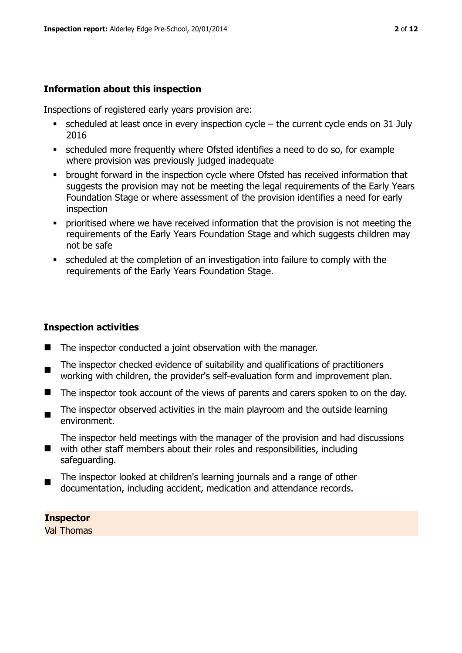#### **Information about this inspection**

Inspections of registered early years provision are:

- scheduled at least once in every inspection cycle the current cycle ends on 31 July 2016
- scheduled more frequently where Ofsted identifies a need to do so, for example where provision was previously judged inadequate
- **•** brought forward in the inspection cycle where Ofsted has received information that suggests the provision may not be meeting the legal requirements of the Early Years Foundation Stage or where assessment of the provision identifies a need for early inspection
- **•** prioritised where we have received information that the provision is not meeting the requirements of the Early Years Foundation Stage and which suggests children may not be safe
- scheduled at the completion of an investigation into failure to comply with the requirements of the Early Years Foundation Stage.

#### **Inspection activities**

- $\blacksquare$  The inspector conducted a joint observation with the manager.
- The inspector checked evidence of suitability and qualifications of practitioners working with children, the provider's self-evaluation form and improvement plan.
- The inspector took account of the views of parents and carers spoken to on the day.
- $\blacksquare$ The inspector observed activities in the main playroom and the outside learning environment.

The inspector held meetings with the manager of the provision and had discussions

- with other staff members about their roles and responsibilities, including safeguarding.
- The inspector looked at children's learning journals and a range of other documentation, including accident, medication and attendance records.

**Inspector** 

Val Thomas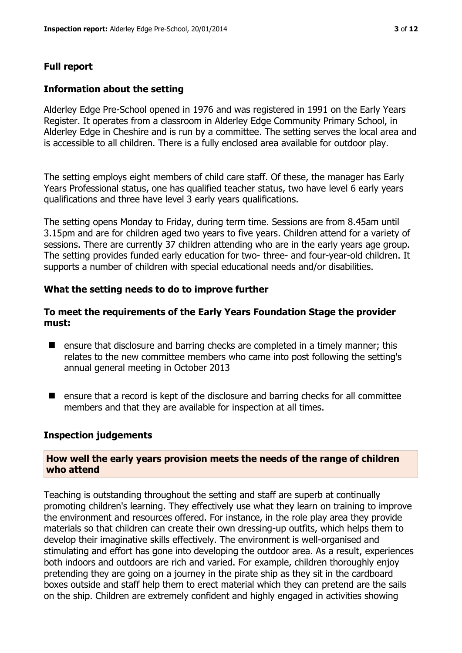# **Full report**

# **Information about the setting**

Alderley Edge Pre-School opened in 1976 and was registered in 1991 on the Early Years Register. It operates from a classroom in Alderley Edge Community Primary School, in Alderley Edge in Cheshire and is run by a committee. The setting serves the local area and is accessible to all children. There is a fully enclosed area available for outdoor play.

The setting employs eight members of child care staff. Of these, the manager has Early Years Professional status, one has qualified teacher status, two have level 6 early years qualifications and three have level 3 early years qualifications.

The setting opens Monday to Friday, during term time. Sessions are from 8.45am until 3.15pm and are for children aged two years to five years. Children attend for a variety of sessions. There are currently 37 children attending who are in the early years age group. The setting provides funded early education for two- three- and four-year-old children. It supports a number of children with special educational needs and/or disabilities.

# **What the setting needs to do to improve further**

# **To meet the requirements of the Early Years Foundation Stage the provider must:**

- **E** ensure that disclosure and barring checks are completed in a timely manner; this relates to the new committee members who came into post following the setting's annual general meeting in October 2013
- $\blacksquare$  ensure that a record is kept of the disclosure and barring checks for all committee members and that they are available for inspection at all times.

#### **Inspection judgements**

#### **How well the early years provision meets the needs of the range of children who attend**

Teaching is outstanding throughout the setting and staff are superb at continually promoting children's learning. They effectively use what they learn on training to improve the environment and resources offered. For instance, in the role play area they provide materials so that children can create their own dressing-up outfits, which helps them to develop their imaginative skills effectively. The environment is well-organised and stimulating and effort has gone into developing the outdoor area. As a result, experiences both indoors and outdoors are rich and varied. For example, children thoroughly enjoy pretending they are going on a journey in the pirate ship as they sit in the cardboard boxes outside and staff help them to erect material which they can pretend are the sails on the ship. Children are extremely confident and highly engaged in activities showing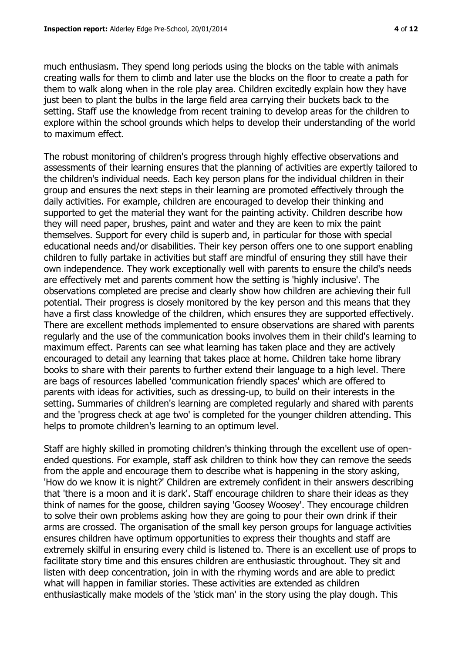much enthusiasm. They spend long periods using the blocks on the table with animals creating walls for them to climb and later use the blocks on the floor to create a path for them to walk along when in the role play area. Children excitedly explain how they have just been to plant the bulbs in the large field area carrying their buckets back to the setting. Staff use the knowledge from recent training to develop areas for the children to explore within the school grounds which helps to develop their understanding of the world to maximum effect.

The robust monitoring of children's progress through highly effective observations and assessments of their learning ensures that the planning of activities are expertly tailored to the children's individual needs. Each key person plans for the individual children in their group and ensures the next steps in their learning are promoted effectively through the daily activities. For example, children are encouraged to develop their thinking and supported to get the material they want for the painting activity. Children describe how they will need paper, brushes, paint and water and they are keen to mix the paint themselves. Support for every child is superb and, in particular for those with special educational needs and/or disabilities. Their key person offers one to one support enabling children to fully partake in activities but staff are mindful of ensuring they still have their own independence. They work exceptionally well with parents to ensure the child's needs are effectively met and parents comment how the setting is 'highly inclusive'. The observations completed are precise and clearly show how children are achieving their full potential. Their progress is closely monitored by the key person and this means that they have a first class knowledge of the children, which ensures they are supported effectively. There are excellent methods implemented to ensure observations are shared with parents regularly and the use of the communication books involves them in their child's learning to maximum effect. Parents can see what learning has taken place and they are actively encouraged to detail any learning that takes place at home. Children take home library books to share with their parents to further extend their language to a high level. There are bags of resources labelled 'communication friendly spaces' which are offered to parents with ideas for activities, such as dressing-up, to build on their interests in the setting. Summaries of children's learning are completed regularly and shared with parents and the 'progress check at age two' is completed for the younger children attending. This helps to promote children's learning to an optimum level.

Staff are highly skilled in promoting children's thinking through the excellent use of openended questions. For example, staff ask children to think how they can remove the seeds from the apple and encourage them to describe what is happening in the story asking, 'How do we know it is night?' Children are extremely confident in their answers describing that 'there is a moon and it is dark'. Staff encourage children to share their ideas as they think of names for the goose, children saying 'Goosey Woosey'. They encourage children to solve their own problems asking how they are going to pour their own drink if their arms are crossed. The organisation of the small key person groups for language activities ensures children have optimum opportunities to express their thoughts and staff are extremely skilful in ensuring every child is listened to. There is an excellent use of props to facilitate story time and this ensures children are enthusiastic throughout. They sit and listen with deep concentration, join in with the rhyming words and are able to predict what will happen in familiar stories. These activities are extended as children enthusiastically make models of the 'stick man' in the story using the play dough. This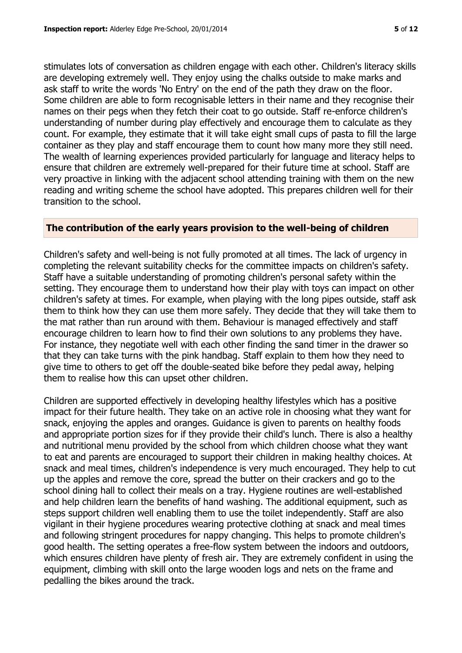stimulates lots of conversation as children engage with each other. Children's literacy skills are developing extremely well. They enjoy using the chalks outside to make marks and ask staff to write the words 'No Entry' on the end of the path they draw on the floor. Some children are able to form recognisable letters in their name and they recognise their names on their pegs when they fetch their coat to go outside. Staff re-enforce children's understanding of number during play effectively and encourage them to calculate as they count. For example, they estimate that it will take eight small cups of pasta to fill the large container as they play and staff encourage them to count how many more they still need. The wealth of learning experiences provided particularly for language and literacy helps to ensure that children are extremely well-prepared for their future time at school. Staff are very proactive in linking with the adjacent school attending training with them on the new reading and writing scheme the school have adopted. This prepares children well for their transition to the school.

#### **The contribution of the early years provision to the well-being of children**

Children's safety and well-being is not fully promoted at all times. The lack of urgency in completing the relevant suitability checks for the committee impacts on children's safety. Staff have a suitable understanding of promoting children's personal safety within the setting. They encourage them to understand how their play with toys can impact on other children's safety at times. For example, when playing with the long pipes outside, staff ask them to think how they can use them more safely. They decide that they will take them to the mat rather than run around with them. Behaviour is managed effectively and staff encourage children to learn how to find their own solutions to any problems they have. For instance, they negotiate well with each other finding the sand timer in the drawer so that they can take turns with the pink handbag. Staff explain to them how they need to give time to others to get off the double-seated bike before they pedal away, helping them to realise how this can upset other children.

Children are supported effectively in developing healthy lifestyles which has a positive impact for their future health. They take on an active role in choosing what they want for snack, enjoying the apples and oranges. Guidance is given to parents on healthy foods and appropriate portion sizes for if they provide their child's lunch. There is also a healthy and nutritional menu provided by the school from which children choose what they want to eat and parents are encouraged to support their children in making healthy choices. At snack and meal times, children's independence is very much encouraged. They help to cut up the apples and remove the core, spread the butter on their crackers and go to the school dining hall to collect their meals on a tray. Hygiene routines are well-established and help children learn the benefits of hand washing. The additional equipment, such as steps support children well enabling them to use the toilet independently. Staff are also vigilant in their hygiene procedures wearing protective clothing at snack and meal times and following stringent procedures for nappy changing. This helps to promote children's good health. The setting operates a free-flow system between the indoors and outdoors, which ensures children have plenty of fresh air. They are extremely confident in using the equipment, climbing with skill onto the large wooden logs and nets on the frame and pedalling the bikes around the track.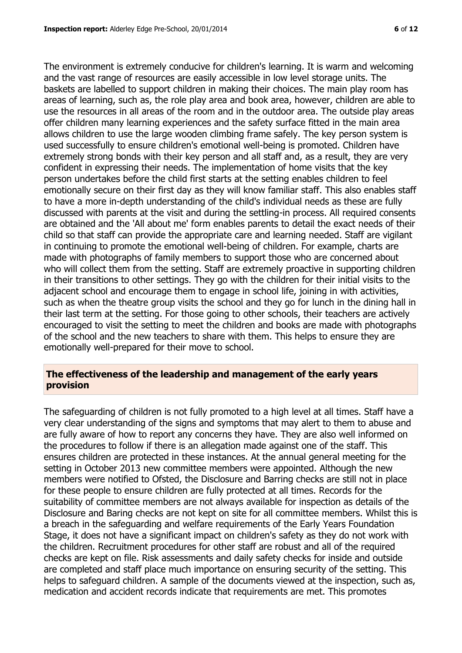The environment is extremely conducive for children's learning. It is warm and welcoming and the vast range of resources are easily accessible in low level storage units. The baskets are labelled to support children in making their choices. The main play room has areas of learning, such as, the role play area and book area, however, children are able to use the resources in all areas of the room and in the outdoor area. The outside play areas offer children many learning experiences and the safety surface fitted in the main area allows children to use the large wooden climbing frame safely. The key person system is used successfully to ensure children's emotional well-being is promoted. Children have extremely strong bonds with their key person and all staff and, as a result, they are very confident in expressing their needs. The implementation of home visits that the key person undertakes before the child first starts at the setting enables children to feel emotionally secure on their first day as they will know familiar staff. This also enables staff to have a more in-depth understanding of the child's individual needs as these are fully discussed with parents at the visit and during the settling-in process. All required consents are obtained and the 'All about me' form enables parents to detail the exact needs of their child so that staff can provide the appropriate care and learning needed. Staff are vigilant in continuing to promote the emotional well-being of children. For example, charts are made with photographs of family members to support those who are concerned about who will collect them from the setting. Staff are extremely proactive in supporting children in their transitions to other settings. They go with the children for their initial visits to the adjacent school and encourage them to engage in school life, joining in with activities, such as when the theatre group visits the school and they go for lunch in the dining hall in their last term at the setting. For those going to other schools, their teachers are actively encouraged to visit the setting to meet the children and books are made with photographs of the school and the new teachers to share with them. This helps to ensure they are emotionally well-prepared for their move to school.

# **The effectiveness of the leadership and management of the early years provision**

The safeguarding of children is not fully promoted to a high level at all times. Staff have a very clear understanding of the signs and symptoms that may alert to them to abuse and are fully aware of how to report any concerns they have. They are also well informed on the procedures to follow if there is an allegation made against one of the staff. This ensures children are protected in these instances. At the annual general meeting for the setting in October 2013 new committee members were appointed. Although the new members were notified to Ofsted, the Disclosure and Barring checks are still not in place for these people to ensure children are fully protected at all times. Records for the suitability of committee members are not always available for inspection as details of the Disclosure and Baring checks are not kept on site for all committee members. Whilst this is a breach in the safeguarding and welfare requirements of the Early Years Foundation Stage, it does not have a significant impact on children's safety as they do not work with the children. Recruitment procedures for other staff are robust and all of the required checks are kept on file. Risk assessments and daily safety checks for inside and outside are completed and staff place much importance on ensuring security of the setting. This helps to safeguard children. A sample of the documents viewed at the inspection, such as, medication and accident records indicate that requirements are met. This promotes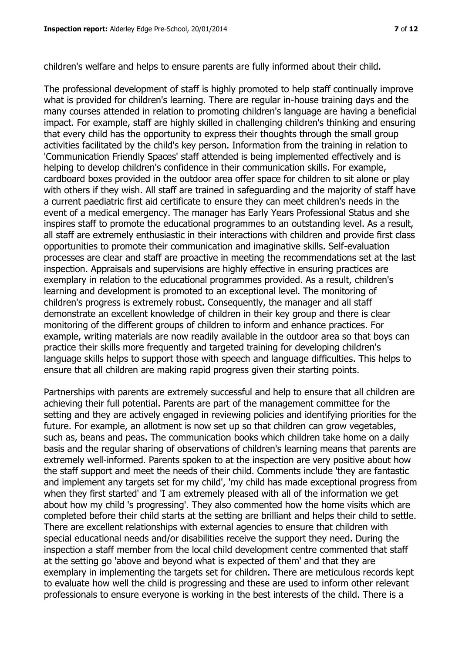children's welfare and helps to ensure parents are fully informed about their child.

The professional development of staff is highly promoted to help staff continually improve what is provided for children's learning. There are regular in-house training days and the many courses attended in relation to promoting children's language are having a beneficial impact. For example, staff are highly skilled in challenging children's thinking and ensuring that every child has the opportunity to express their thoughts through the small group activities facilitated by the child's key person. Information from the training in relation to 'Communication Friendly Spaces' staff attended is being implemented effectively and is helping to develop children's confidence in their communication skills. For example, cardboard boxes provided in the outdoor area offer space for children to sit alone or play with others if they wish. All staff are trained in safeguarding and the majority of staff have a current paediatric first aid certificate to ensure they can meet children's needs in the event of a medical emergency. The manager has Early Years Professional Status and she inspires staff to promote the educational programmes to an outstanding level. As a result, all staff are extremely enthusiastic in their interactions with children and provide first class opportunities to promote their communication and imaginative skills. Self-evaluation processes are clear and staff are proactive in meeting the recommendations set at the last inspection. Appraisals and supervisions are highly effective in ensuring practices are exemplary in relation to the educational programmes provided. As a result, children's learning and development is promoted to an exceptional level. The monitoring of children's progress is extremely robust. Consequently, the manager and all staff demonstrate an excellent knowledge of children in their key group and there is clear monitoring of the different groups of children to inform and enhance practices. For example, writing materials are now readily available in the outdoor area so that boys can practice their skills more frequently and targeted training for developing children's language skills helps to support those with speech and language difficulties. This helps to ensure that all children are making rapid progress given their starting points.

Partnerships with parents are extremely successful and help to ensure that all children are achieving their full potential. Parents are part of the management committee for the setting and they are actively engaged in reviewing policies and identifying priorities for the future. For example, an allotment is now set up so that children can grow vegetables, such as, beans and peas. The communication books which children take home on a daily basis and the regular sharing of observations of children's learning means that parents are extremely well-informed. Parents spoken to at the inspection are very positive about how the staff support and meet the needs of their child. Comments include 'they are fantastic and implement any targets set for my child', 'my child has made exceptional progress from when they first started' and 'I am extremely pleased with all of the information we get about how my child 's progressing'. They also commented how the home visits which are completed before their child starts at the setting are brilliant and helps their child to settle. There are excellent relationships with external agencies to ensure that children with special educational needs and/or disabilities receive the support they need. During the inspection a staff member from the local child development centre commented that staff at the setting go 'above and beyond what is expected of them' and that they are exemplary in implementing the targets set for children. There are meticulous records kept to evaluate how well the child is progressing and these are used to inform other relevant professionals to ensure everyone is working in the best interests of the child. There is a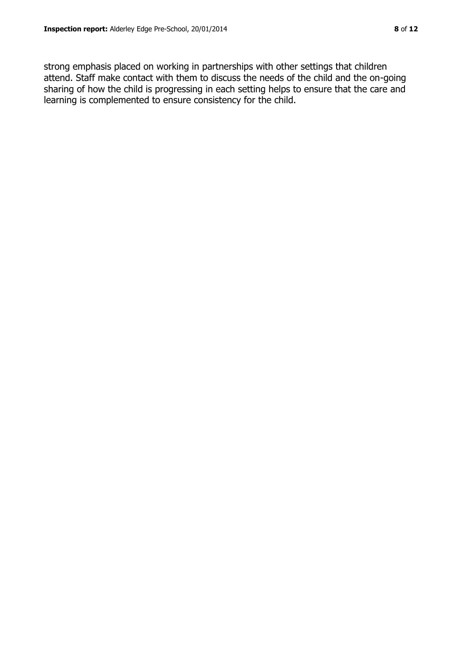strong emphasis placed on working in partnerships with other settings that children attend. Staff make contact with them to discuss the needs of the child and the on-going sharing of how the child is progressing in each setting helps to ensure that the care and learning is complemented to ensure consistency for the child.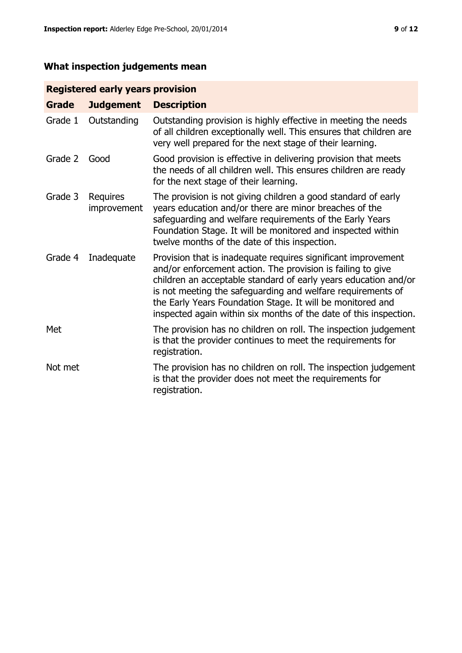# **What inspection judgements mean**

# **Registered early years provision**

| <b>Grade</b> | <b>Judgement</b>        | <b>Description</b>                                                                                                                                                                                                                                                                                                                                                                                |
|--------------|-------------------------|---------------------------------------------------------------------------------------------------------------------------------------------------------------------------------------------------------------------------------------------------------------------------------------------------------------------------------------------------------------------------------------------------|
| Grade 1      | Outstanding             | Outstanding provision is highly effective in meeting the needs<br>of all children exceptionally well. This ensures that children are<br>very well prepared for the next stage of their learning.                                                                                                                                                                                                  |
| Grade 2      | Good                    | Good provision is effective in delivering provision that meets<br>the needs of all children well. This ensures children are ready<br>for the next stage of their learning.                                                                                                                                                                                                                        |
| Grade 3      | Requires<br>improvement | The provision is not giving children a good standard of early<br>years education and/or there are minor breaches of the<br>safeguarding and welfare requirements of the Early Years<br>Foundation Stage. It will be monitored and inspected within<br>twelve months of the date of this inspection.                                                                                               |
| Grade 4      | Inadequate              | Provision that is inadequate requires significant improvement<br>and/or enforcement action. The provision is failing to give<br>children an acceptable standard of early years education and/or<br>is not meeting the safeguarding and welfare requirements of<br>the Early Years Foundation Stage. It will be monitored and<br>inspected again within six months of the date of this inspection. |
| Met          |                         | The provision has no children on roll. The inspection judgement<br>is that the provider continues to meet the requirements for<br>registration.                                                                                                                                                                                                                                                   |
| Not met      |                         | The provision has no children on roll. The inspection judgement<br>is that the provider does not meet the requirements for<br>registration.                                                                                                                                                                                                                                                       |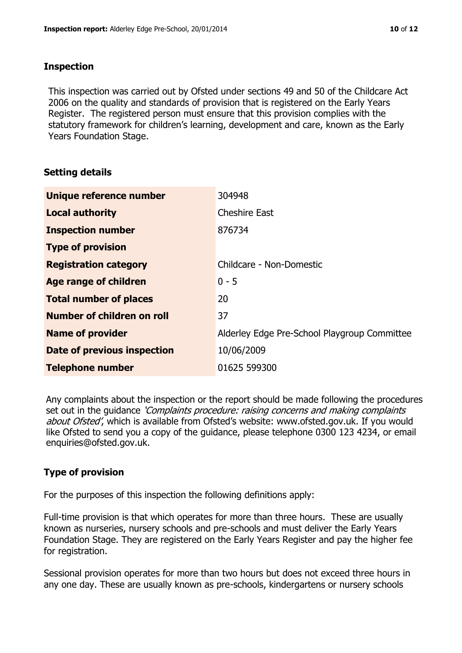# **Inspection**

This inspection was carried out by Ofsted under sections 49 and 50 of the Childcare Act 2006 on the quality and standards of provision that is registered on the Early Years Register. The registered person must ensure that this provision complies with the statutory framework for children's learning, development and care, known as the Early Years Foundation Stage.

# **Setting details**

| Unique reference number       | 304948                                       |
|-------------------------------|----------------------------------------------|
| <b>Local authority</b>        | <b>Cheshire East</b>                         |
| <b>Inspection number</b>      | 876734                                       |
| <b>Type of provision</b>      |                                              |
| <b>Registration category</b>  | Childcare - Non-Domestic                     |
| Age range of children         | $0 - 5$                                      |
| <b>Total number of places</b> | 20                                           |
| Number of children on roll    | 37                                           |
| <b>Name of provider</b>       | Alderley Edge Pre-School Playgroup Committee |
| Date of previous inspection   | 10/06/2009                                   |
| <b>Telephone number</b>       | 01625 599300                                 |

Any complaints about the inspection or the report should be made following the procedures set out in the guidance *'Complaints procedure: raising concerns and making complaints* about Ofsted', which is available from Ofsted's website: www.ofsted.gov.uk. If you would like Ofsted to send you a copy of the guidance, please telephone 0300 123 4234, or email enquiries@ofsted.gov.uk.

# **Type of provision**

For the purposes of this inspection the following definitions apply:

Full-time provision is that which operates for more than three hours. These are usually known as nurseries, nursery schools and pre-schools and must deliver the Early Years Foundation Stage. They are registered on the Early Years Register and pay the higher fee for registration.

Sessional provision operates for more than two hours but does not exceed three hours in any one day. These are usually known as pre-schools, kindergartens or nursery schools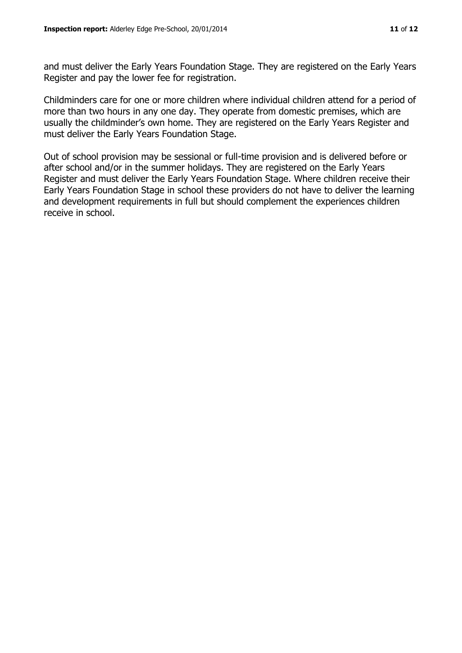and must deliver the Early Years Foundation Stage. They are registered on the Early Years Register and pay the lower fee for registration.

Childminders care for one or more children where individual children attend for a period of more than two hours in any one day. They operate from domestic premises, which are usually the childminder's own home. They are registered on the Early Years Register and must deliver the Early Years Foundation Stage.

Out of school provision may be sessional or full-time provision and is delivered before or after school and/or in the summer holidays. They are registered on the Early Years Register and must deliver the Early Years Foundation Stage. Where children receive their Early Years Foundation Stage in school these providers do not have to deliver the learning and development requirements in full but should complement the experiences children receive in school.